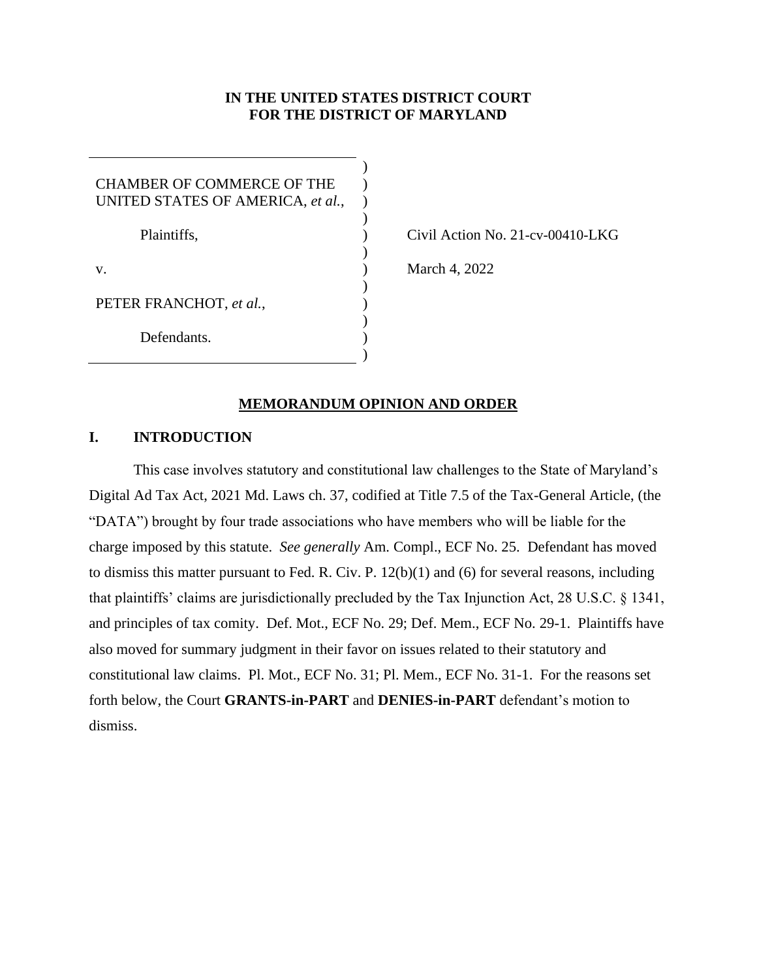# **IN THE UNITED STATES DISTRICT COURT FOR THE DISTRICT OF MARYLAND**

| CHAMBER OF COMMERCE OF THE<br>UNITED STATES OF AMERICA, et al., |  |
|-----------------------------------------------------------------|--|
| Plaintiffs,                                                     |  |
| V.                                                              |  |
| PETER FRANCHOT, et al.,                                         |  |
| Defendants.                                                     |  |
|                                                                 |  |

Civil Action No. 21-cv-00410-LKG

March 4, 2022

### **MEMORANDUM OPINION AND ORDER**

# **I. INTRODUCTION**

This case involves statutory and constitutional law challenges to the State of Maryland's Digital Ad Tax Act, 2021 Md. Laws ch. 37, codified at Title 7.5 of the Tax-General Article, (the "DATA") brought by four trade associations who have members who will be liable for the charge imposed by this statute. *See generally* Am. Compl., ECF No. 25. Defendant has moved to dismiss this matter pursuant to Fed. R. Civ. P. 12(b)(1) and (6) for several reasons, including that plaintiffs' claims are jurisdictionally precluded by the Tax Injunction Act, 28 U.S.C. § 1341, and principles of tax comity. Def. Mot., ECF No. 29; Def. Mem., ECF No. 29-1. Plaintiffs have also moved for summary judgment in their favor on issues related to their statutory and constitutional law claims. Pl. Mot., ECF No. 31; Pl. Mem., ECF No. 31-1. For the reasons set forth below, the Court **GRANTS-in-PART** and **DENIES-in-PART** defendant's motion to dismiss.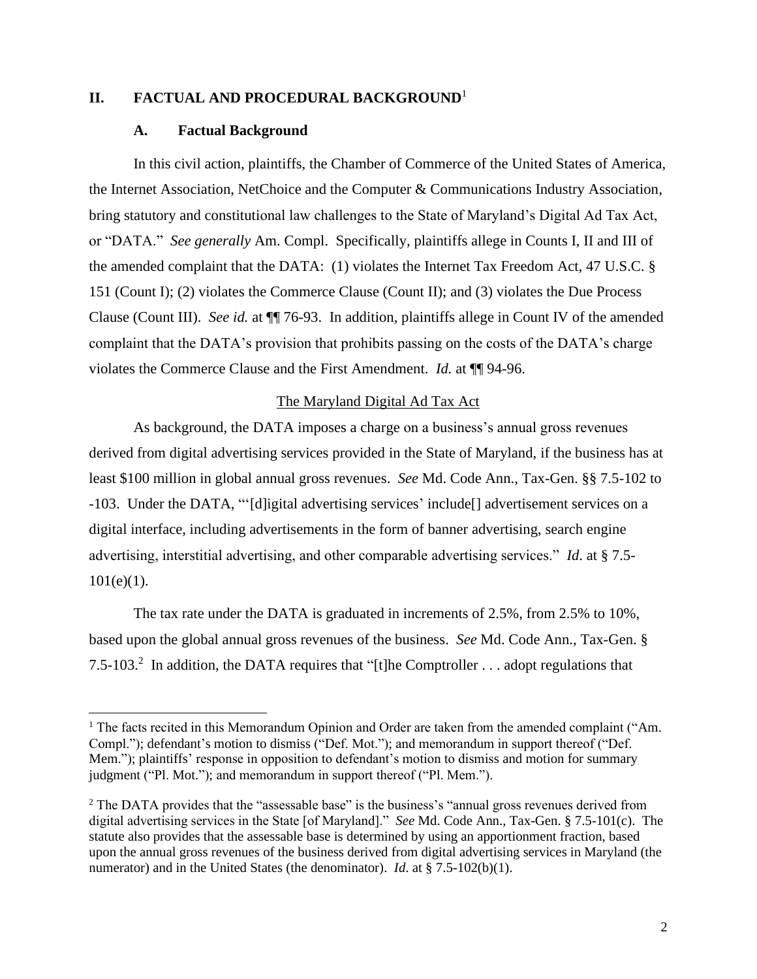# **II. FACTUAL AND PROCEDURAL BACKGROUND**<sup>1</sup>

#### **A. Factual Background**

In this civil action, plaintiffs, the Chamber of Commerce of the United States of America, the Internet Association, NetChoice and the Computer & Communications Industry Association, bring statutory and constitutional law challenges to the State of Maryland's Digital Ad Tax Act, or "DATA." *See generally* Am. Compl. Specifically, plaintiffs allege in Counts I, II and III of the amended complaint that the DATA: (1) violates the Internet Tax Freedom Act, 47 U.S.C. § 151 (Count I); (2) violates the Commerce Clause (Count II); and (3) violates the Due Process Clause (Count III). *See id.* at ¶¶ 76-93. In addition, plaintiffs allege in Count IV of the amended complaint that the DATA's provision that prohibits passing on the costs of the DATA's charge violates the Commerce Clause and the First Amendment. *Id.* at ¶¶ 94-96.

### The Maryland Digital Ad Tax Act

As background, the DATA imposes a charge on a business's annual gross revenues derived from digital advertising services provided in the State of Maryland, if the business has at least \$100 million in global annual gross revenues. *See* Md. Code Ann., Tax-Gen. §§ 7.5-102 to -103. Under the DATA, "'[d]igital advertising services' include[] advertisement services on a digital interface, including advertisements in the form of banner advertising, search engine advertising, interstitial advertising, and other comparable advertising services." *Id*. at § 7.5-  $101(e)(1)$ .

The tax rate under the DATA is graduated in increments of 2.5%, from 2.5% to 10%, based upon the global annual gross revenues of the business. *See* Md. Code Ann., Tax-Gen. § 7.5-103.<sup>2</sup> In addition, the DATA requires that "[t]he Comptroller . . . adopt regulations that

<sup>&</sup>lt;sup>1</sup> The facts recited in this Memorandum Opinion and Order are taken from the amended complaint ("Am. Compl."); defendant's motion to dismiss ("Def. Mot."); and memorandum in support thereof ("Def. Mem."); plaintiffs' response in opposition to defendant's motion to dismiss and motion for summary judgment ("Pl. Mot."); and memorandum in support thereof ("Pl. Mem.").

<sup>&</sup>lt;sup>2</sup> The DATA provides that the "assessable base" is the business's "annual gross revenues derived from digital advertising services in the State [of Maryland]." *See* Md. Code Ann., Tax-Gen. § 7.5-101(c). The statute also provides that the assessable base is determined by using an apportionment fraction, based upon the annual gross revenues of the business derived from digital advertising services in Maryland (the numerator) and in the United States (the denominator). *Id*. at § 7.5-102(b)(1).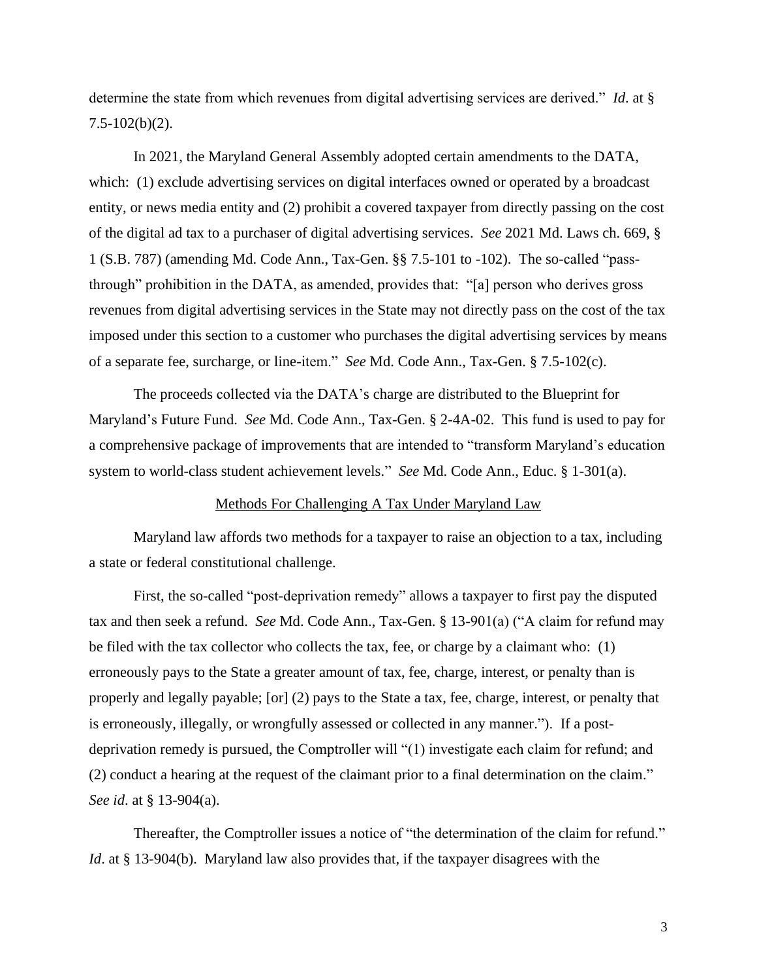determine the state from which revenues from digital advertising services are derived." *Id*. at §  $7.5 - 102(b)(2)$ .

In 2021, the Maryland General Assembly adopted certain amendments to the DATA, which: (1) exclude advertising services on digital interfaces owned or operated by a broadcast entity, or news media entity and (2) prohibit a covered taxpayer from directly passing on the cost of the digital ad tax to a purchaser of digital advertising services. *See* 2021 Md. Laws ch. 669, § 1 (S.B. 787) (amending Md. Code Ann., Tax-Gen. §§ 7.5-101 to -102). The so-called "passthrough" prohibition in the DATA, as amended, provides that: "[a] person who derives gross revenues from digital advertising services in the State may not directly pass on the cost of the tax imposed under this section to a customer who purchases the digital advertising services by means of a separate fee, surcharge, or line-item." *See* Md. Code Ann., Tax-Gen. § 7.5-102(c).

The proceeds collected via the DATA's charge are distributed to the Blueprint for Maryland's Future Fund. *See* Md. Code Ann., Tax-Gen. § 2-4A-02. This fund is used to pay for a comprehensive package of improvements that are intended to "transform Maryland's education system to world-class student achievement levels." *See* Md. Code Ann., Educ. § 1-301(a).

## Methods For Challenging A Tax Under Maryland Law

Maryland law affords two methods for a taxpayer to raise an objection to a tax, including a state or federal constitutional challenge.

First, the so-called "post-deprivation remedy" allows a taxpayer to first pay the disputed tax and then seek a refund. *See* Md. Code Ann., Tax-Gen. § 13-901(a) ("A claim for refund may be filed with the tax collector who collects the tax, fee, or charge by a claimant who: (1) erroneously pays to the State a greater amount of tax, fee, charge, interest, or penalty than is properly and legally payable; [or] (2) pays to the State a tax, fee, charge, interest, or penalty that is erroneously, illegally, or wrongfully assessed or collected in any manner."). If a postdeprivation remedy is pursued, the Comptroller will "(1) investigate each claim for refund; and (2) conduct a hearing at the request of the claimant prior to a final determination on the claim." *See id*. at § 13-904(a).

Thereafter, the Comptroller issues a notice of "the determination of the claim for refund." *Id*. at § 13-904(b). Maryland law also provides that, if the taxpayer disagrees with the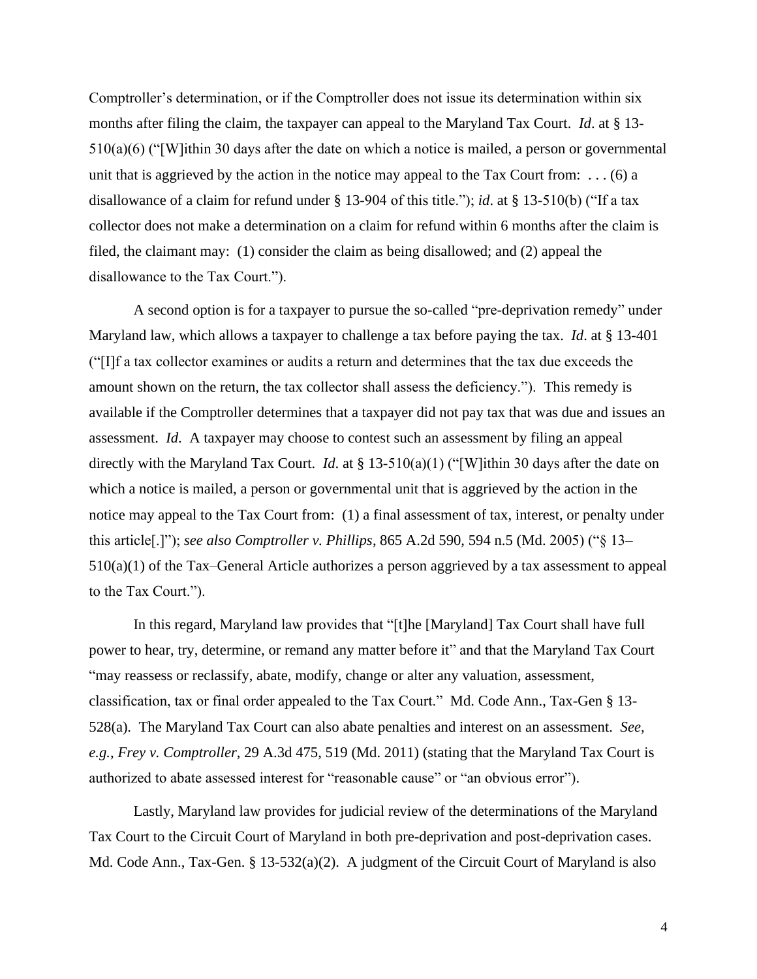Comptroller's determination, or if the Comptroller does not issue its determination within six months after filing the claim, the taxpayer can appeal to the Maryland Tax Court. *Id*. at § 13- 510(a)(6) ("[W]ithin 30 days after the date on which a notice is mailed, a person or governmental unit that is aggrieved by the action in the notice may appeal to the Tax Court from:  $\dots$  (6) a disallowance of a claim for refund under § 13-904 of this title."); *id*. at § 13-510(b) ("If a tax collector does not make a determination on a claim for refund within 6 months after the claim is filed, the claimant may: (1) consider the claim as being disallowed; and (2) appeal the disallowance to the Tax Court.").

A second option is for a taxpayer to pursue the so-called "pre-deprivation remedy" under Maryland law, which allows a taxpayer to challenge a tax before paying the tax. *Id*. at § 13-401 ("[I]f a tax collector examines or audits a return and determines that the tax due exceeds the amount shown on the return, the tax collector shall assess the deficiency."). This remedy is available if the Comptroller determines that a taxpayer did not pay tax that was due and issues an assessment. *Id*. A taxpayer may choose to contest such an assessment by filing an appeal directly with the Maryland Tax Court. *Id*. at § 13-510(a)(1) ("[W]ithin 30 days after the date on which a notice is mailed, a person or governmental unit that is aggrieved by the action in the notice may appeal to the Tax Court from: (1) a final assessment of tax, interest, or penalty under this article[.]"); *see also Comptroller v. Phillips*, 865 A.2d 590, 594 n.5 (Md. 2005) ("§ 13– 510(a)(1) of the Tax–General Article authorizes a person aggrieved by a tax assessment to appeal to the Tax Court.").

In this regard, Maryland law provides that "[t]he [Maryland] Tax Court shall have full power to hear, try, determine, or remand any matter before it" and that the Maryland Tax Court "may reassess or reclassify, abate, modify, change or alter any valuation, assessment, classification, tax or final order appealed to the Tax Court." Md. Code Ann., Tax-Gen § 13- 528(a). The Maryland Tax Court can also abate penalties and interest on an assessment. *See, e.g.*, *Frey v. Comptroller*, 29 A.3d 475, 519 (Md. 2011) (stating that the Maryland Tax Court is authorized to abate assessed interest for "reasonable cause" or "an obvious error").

Lastly, Maryland law provides for judicial review of the determinations of the Maryland Tax Court to the Circuit Court of Maryland in both pre-deprivation and post-deprivation cases. Md. Code Ann., Tax-Gen. § 13-532(a)(2). A judgment of the Circuit Court of Maryland is also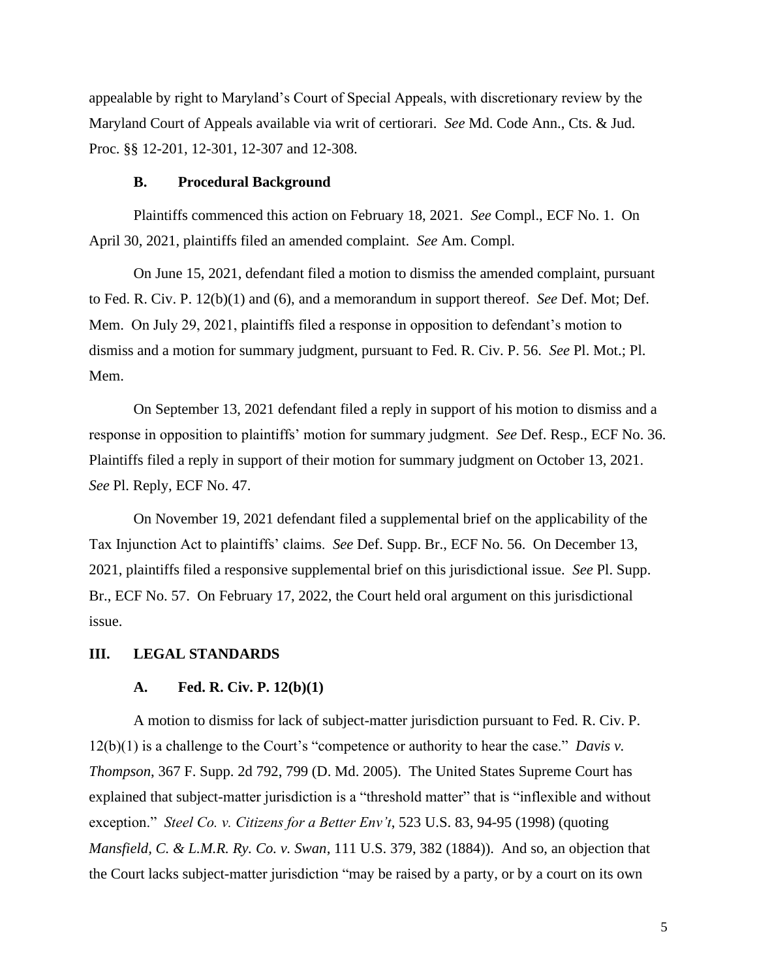appealable by right to Maryland's Court of Special Appeals, with discretionary review by the Maryland Court of Appeals available via writ of certiorari. *See* Md. Code Ann., Cts. & Jud. Proc. §§ 12-201, 12-301, 12-307 and 12-308.

#### **B. Procedural Background**

Plaintiffs commenced this action on February 18, 2021. *See* Compl., ECF No. 1. On April 30, 2021, plaintiffs filed an amended complaint. *See* Am. Compl.

On June 15, 2021, defendant filed a motion to dismiss the amended complaint, pursuant to Fed. R. Civ. P. 12(b)(1) and (6), and a memorandum in support thereof. *See* Def. Mot; Def. Mem. On July 29, 2021, plaintiffs filed a response in opposition to defendant's motion to dismiss and a motion for summary judgment, pursuant to Fed. R. Civ. P. 56. *See* Pl. Mot.; Pl. Mem.

On September 13, 2021 defendant filed a reply in support of his motion to dismiss and a response in opposition to plaintiffs' motion for summary judgment. *See* Def. Resp., ECF No. 36. Plaintiffs filed a reply in support of their motion for summary judgment on October 13, 2021. *See* Pl. Reply, ECF No. 47.

On November 19, 2021 defendant filed a supplemental brief on the applicability of the Tax Injunction Act to plaintiffs' claims. *See* Def. Supp. Br., ECF No. 56. On December 13, 2021, plaintiffs filed a responsive supplemental brief on this jurisdictional issue. *See* Pl. Supp. Br., ECF No. 57. On February 17, 2022, the Court held oral argument on this jurisdictional issue.

#### **III. LEGAL STANDARDS**

#### **A. Fed. R. Civ. P. 12(b)(1)**

A motion to dismiss for lack of subject-matter jurisdiction pursuant to Fed. R. Civ. P. 12(b)(1) is a challenge to the Court's "competence or authority to hear the case." *Davis v. Thompson*, 367 F. Supp. 2d 792, 799 (D. Md. 2005). The United States Supreme Court has explained that subject-matter jurisdiction is a "threshold matter" that is "inflexible and without exception." *Steel Co. v. Citizens for a Better Env't*, 523 U.S. 83, 94-95 (1998) (quoting *Mansfield, C. & L.M.R. Ry. Co. v. Swan*, 111 U.S. 379, 382 (1884)). And so, an objection that the Court lacks subject-matter jurisdiction "may be raised by a party, or by a court on its own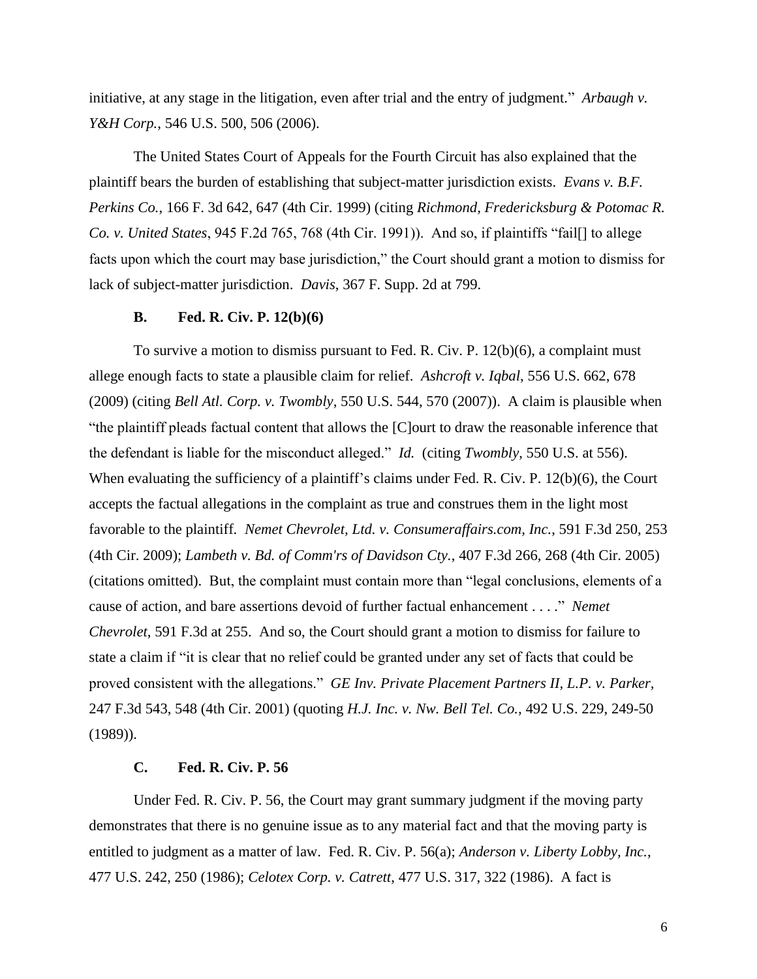initiative, at any stage in the litigation, even after trial and the entry of judgment." *Arbaugh v. Y&H Corp.*, 546 U.S. 500, 506 (2006).

The United States Court of Appeals for the Fourth Circuit has also explained that the plaintiff bears the burden of establishing that subject-matter jurisdiction exists. *Evans v. B.F. Perkins Co.*, 166 F. 3d 642, 647 (4th Cir. 1999) (citing *Richmond, Fredericksburg & Potomac R. Co. v. United States*, 945 F.2d 765, 768 (4th Cir. 1991)). And so, if plaintiffs "fail[] to allege facts upon which the court may base jurisdiction," the Court should grant a motion to dismiss for lack of subject-matter jurisdiction. *Davis*, 367 F. Supp. 2d at 799.

### **B. Fed. R. Civ. P. 12(b)(6)**

To survive a motion to dismiss pursuant to Fed. R. Civ. P. 12(b)(6), a complaint must allege enough facts to state a plausible claim for relief. *Ashcroft v. Iqbal*, 556 U.S. 662, 678 (2009) (citing *Bell Atl. Corp. v. Twombly*, 550 U.S. 544, 570 (2007)). A claim is plausible when "the plaintiff pleads factual content that allows the [C]ourt to draw the reasonable inference that the defendant is liable for the misconduct alleged." *Id.* (citing *Twombly*, 550 U.S. at 556). When evaluating the sufficiency of a plaintiff's claims under Fed. R. Civ. P. 12(b)(6), the Court accepts the factual allegations in the complaint as true and construes them in the light most favorable to the plaintiff. *Nemet Chevrolet, Ltd. v. Consumeraffairs.com, Inc.*, 591 F.3d 250, 253 (4th Cir. 2009); *Lambeth v. Bd. of Comm'rs of Davidson Cty.*, 407 F.3d 266, 268 (4th Cir. 2005) (citations omitted). But, the complaint must contain more than "legal conclusions, elements of a cause of action, and bare assertions devoid of further factual enhancement . . . ." *Nemet Chevrolet*, 591 F.3d at 255. And so, the Court should grant a motion to dismiss for failure to state a claim if "it is clear that no relief could be granted under any set of facts that could be proved consistent with the allegations." *GE Inv. Private Placement Partners II, L.P. v. Parker,* 247 F.3d 543, 548 (4th Cir. 2001) (quoting *H.J. Inc. v. Nw. Bell Tel. Co.,* 492 U.S. 229, 249-50 (1989)).

#### **C. Fed. R. Civ. P. 56**

Under Fed. R. Civ. P. 56, the Court may grant summary judgment if the moving party demonstrates that there is no genuine issue as to any material fact and that the moving party is entitled to judgment as a matter of law. Fed. R. Civ. P. 56(a); *Anderson v. Liberty Lobby, Inc.*, 477 U.S. 242, 250 (1986); *Celotex Corp. v. Catrett*, 477 U.S. 317, 322 (1986). A fact is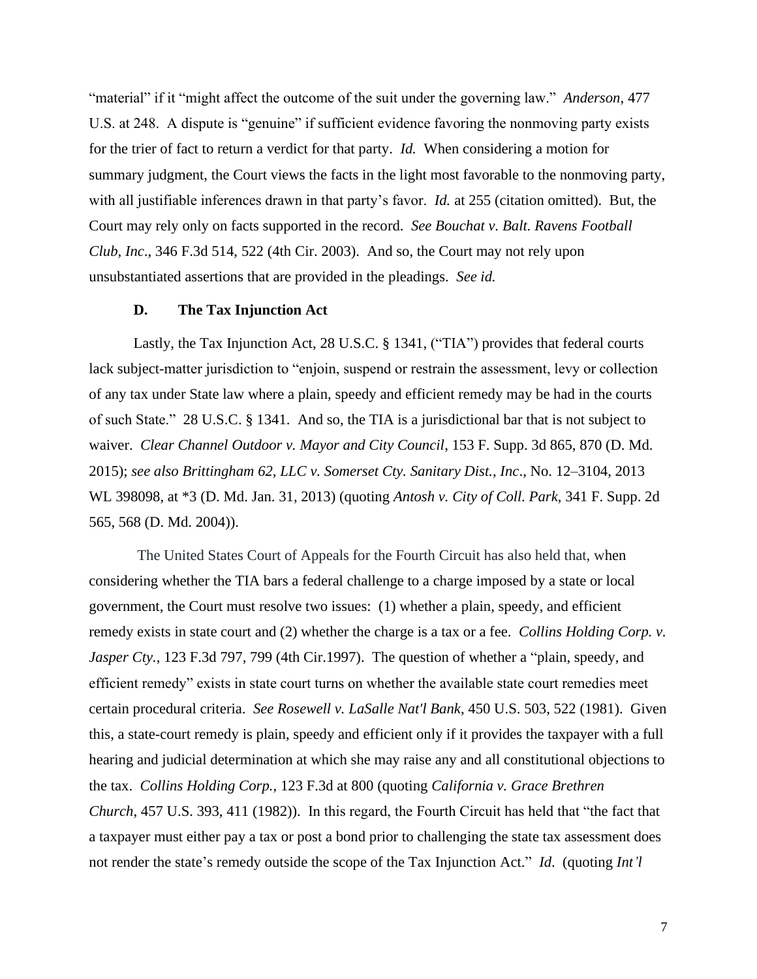"material" if it "might affect the outcome of the suit under the governing law." *Anderson*, 477 U.S. at 248. A dispute is "genuine" if sufficient evidence favoring the nonmoving party exists for the trier of fact to return a verdict for that party. *Id.* When considering a motion for summary judgment, the Court views the facts in the light most favorable to the nonmoving party, with all justifiable inferences drawn in that party's favor. *Id.* at 255 (citation omitted). But, the Court may rely only on facts supported in the record. *See Bouchat v. Balt. Ravens Football Club, Inc*., 346 F.3d 514, 522 (4th Cir. 2003). And so, the Court may not rely upon unsubstantiated assertions that are provided in the pleadings. *See id.*

#### **D. The Tax Injunction Act**

Lastly, the Tax Injunction Act, [28 U.S.C. § 1341,](https://1.next.westlaw.com/Link/Document/FullText?findType=L&pubNum=1000546&cite=28USCAS1341&originatingDoc=Iaa639b10adf711e5b10893af99153f48&refType=LQ&originationContext=document&transitionType=DocumentItem&ppcid=f188b5ee68c04b878903a55aeef1f465&contextData=(sc.History*oc.Default)) ("TIA") provides that federal courts lack subject-matter jurisdiction to "enjoin, suspend or restrain the assessment, levy or collection of any tax under State law where a plain, speedy and efficient remedy may be had in the courts of such State." [28 U.S.C. § 1341.](https://1.next.westlaw.com/Link/Document/FullText?findType=L&pubNum=1000546&cite=28USCAS1341&originatingDoc=Iaa639b10adf711e5b10893af99153f48&refType=LQ&originationContext=document&transitionType=DocumentItem&ppcid=f188b5ee68c04b878903a55aeef1f465&contextData=(sc.History*oc.Default)) And so, the TIA is a jurisdictional bar that is not subject to waiver. *Clear Channel Outdoor v. Mayor and City Council*, 153 F. Supp. 3d 865, 870 (D. Md. 2015); *see also [Brittingham 62, LLC v. Somerset Cty. Sanitary Dist., Inc](https://1.next.westlaw.com/Link/Document/FullText?findType=Y&serNum=2029785962&pubNum=0000999&originatingDoc=Iaa639b10adf711e5b10893af99153f48&refType=RP&originationContext=document&transitionType=DocumentItem&ppcid=f188b5ee68c04b878903a55aeef1f465&contextData=(sc.History*oc.Default))*., No. 12–3104, 2013 [WL 398098, at \\*3 \(D.](https://1.next.westlaw.com/Link/Document/FullText?findType=Y&serNum=2029785962&pubNum=0000999&originatingDoc=Iaa639b10adf711e5b10893af99153f48&refType=RP&originationContext=document&transitionType=DocumentItem&ppcid=f188b5ee68c04b878903a55aeef1f465&contextData=(sc.History*oc.Default)) Md. Jan. 31, 2013) (quoting *[Antosh v. City of Coll. Park](https://1.next.westlaw.com/Link/Document/FullText?findType=Y&serNum=2005394271&pubNum=0004637&originatingDoc=Iaa639b10adf711e5b10893af99153f48&refType=RP&fi=co_pp_sp_4637_568&originationContext=document&transitionType=DocumentItem&ppcid=f188b5ee68c04b878903a55aeef1f465&contextData=(sc.History*oc.Default)#co_pp_sp_4637_568)*, 341 F. Supp. 2d [565, 568 \(D.](https://1.next.westlaw.com/Link/Document/FullText?findType=Y&serNum=2005394271&pubNum=0004637&originatingDoc=Iaa639b10adf711e5b10893af99153f48&refType=RP&fi=co_pp_sp_4637_568&originationContext=document&transitionType=DocumentItem&ppcid=f188b5ee68c04b878903a55aeef1f465&contextData=(sc.History*oc.Default)#co_pp_sp_4637_568) Md. 2004)).

The United States Court of Appeals for the Fourth Circuit has also held that, when considering whether the TIA bars a federal challenge to a charge imposed by a state or local government, the Court must resolve two issues: (1) whether a plain, speedy, and efficient remedy exists in state court and (2) whether the charge is a tax or a fee. *[Collins Holding Corp. v.](https://1.next.westlaw.com/Link/Document/FullText?findType=Y&serNum=1997181990&pubNum=0000506&originatingDoc=Iaa639b10adf711e5b10893af99153f48&refType=RP&fi=co_pp_sp_506_799&originationContext=document&transitionType=DocumentItem&ppcid=f188b5ee68c04b878903a55aeef1f465&contextData=(sc.History*oc.Default)#co_pp_sp_506_799)  Jasper Cty.*[, 123 F.3d 797, 799 \(4th Cir.1997\).](https://1.next.westlaw.com/Link/Document/FullText?findType=Y&serNum=1997181990&pubNum=0000506&originatingDoc=Iaa639b10adf711e5b10893af99153f48&refType=RP&fi=co_pp_sp_506_799&originationContext=document&transitionType=DocumentItem&ppcid=f188b5ee68c04b878903a55aeef1f465&contextData=(sc.History*oc.Default)#co_pp_sp_506_799) The question of whether a "plain, speedy, and efficient remedy" exists in state court turns on whether the available state court remedies meet certain procedural criteria. *See Rosewell v. LaSalle Nat'l Bank*, [450 U.S. 503, 522](https://casetext.com/case/rosewell-v-lasalle-national-bank#p521) (1981). Given this, a state-court remedy is plain, speedy and efficient only if it provides the taxpayer with a full hearing and judicial determination at which she may raise any and all constitutional objections to the tax. *[Collins Holding Corp.](https://1.next.westlaw.com/Link/Document/FullText?findType=Y&serNum=1997181990&pubNum=0000506&originatingDoc=Iaa639b10adf711e5b10893af99153f48&refType=RP&fi=co_pp_sp_506_799&originationContext=document&transitionType=DocumentItem&ppcid=f188b5ee68c04b878903a55aeef1f465&contextData=(sc.History*oc.Default)#co_pp_sp_506_799)*, 123 F.3d at 800 (quoting *California v. Grace Brethren Church*, [457 U.S. 393, 411](https://casetext.com/case/california-v-grace-brethren-church#p411) (1982)). In this regard, the Fourth Circuit has held that "the fact that a taxpayer must either pay a tax or post a bond prior to challenging the state tax assessment does not render the state's remedy outside the scope of the Tax Injunction Act." *Id*. (quoting *Int'l*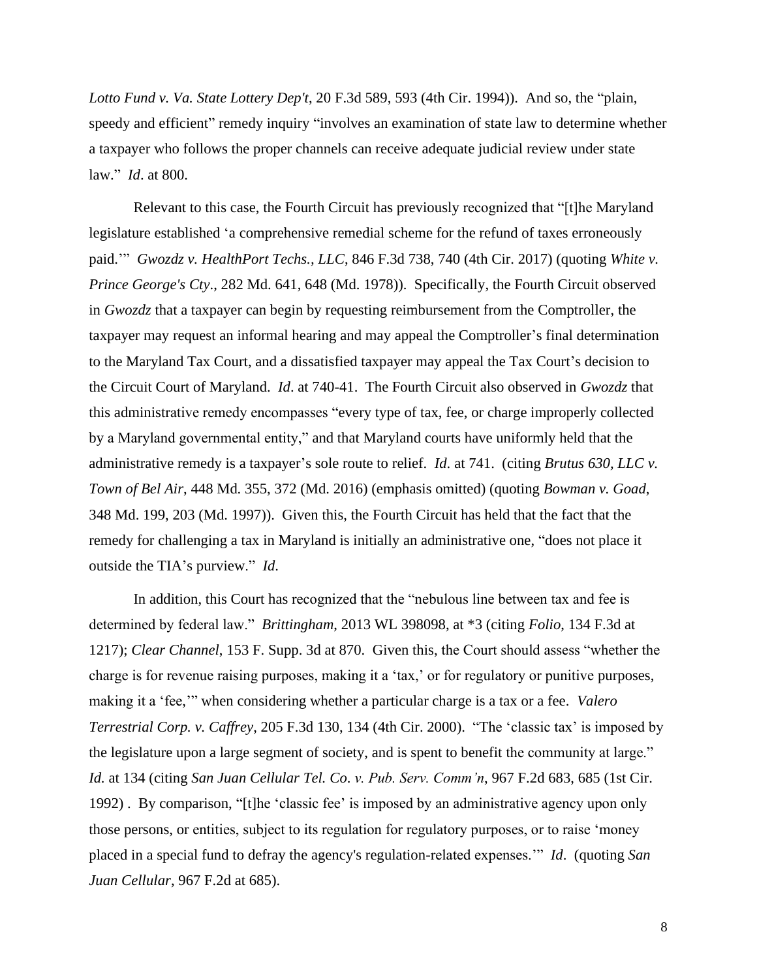*Lotto Fund v. Va. State Lottery Dep't*, [20 F.3d 589, 593](https://casetext.com/case/int-lotto-fd-v-virginia-state-lo#p593) (4th Cir. 1994)). And so, the "plain, speedy and efficient" remedy inquiry "involves an examination of state law to determine whether a taxpayer who follows the proper channels can receive adequate judicial review under state law." *Id*. at 800.

Relevant to this case, the Fourth Circuit has previously recognized that "[t]he Maryland legislature established 'a comprehensive remedial scheme for the refund of taxes erroneously paid.'" *Gwozdz v. HealthPort Techs., LLC*, 846 F.3d 738, 740 (4th Cir. 2017) (quoting *White v. Prince George's Cty*., [282 Md. 641,](https://casetext.com/case/white-v-prince-georges-co) 648 (Md. 1978)). Specifically, the Fourth Circuit observed in *Gwozdz* that a taxpayer can begin by requesting reimbursement from the Comptroller, the taxpayer may request an informal hearing and may appeal the Comptroller's final determination to the Maryland Tax Court, and a dissatisfied taxpayer may appeal the Tax Court's decision to the Circuit Court of Maryland. *Id*. at 740-41. The Fourth Circuit also observed in *Gwozdz* that this administrative remedy encompasses "every type of tax, fee, or charge improperly collected by a Maryland governmental entity," and that Maryland courts have uniformly held that the administrative remedy is a taxpayer's sole route to relief. *Id*. at 741. (citing *Brutus 630, LLC v. Town of Bel Air*, [448 Md. 355,](https://casetext.com/case/brutus-630-llc-v-town-of-bel-air-2) 372 (Md. 2016) (emphasis omitted) (quoting *Bowman v. Goad*, [348 Md. 199,](https://casetext.com/case/bowman-v-goad) 203 (Md. 1997)). Given this, the Fourth Circuit has held that the fact that the remedy for challenging a tax in Maryland is initially an administrative one, "does not place it outside the TIA's purview." *Id*.

In addition, this Court has recognized that the "nebulous line between tax and fee is determined by federal law." *Brittingham*[, 2013 WL 398098, at \\*3](https://1.next.westlaw.com/Link/Document/FullText?findType=Y&serNum=2029785962&pubNum=0000999&originatingDoc=Iaa639b10adf711e5b10893af99153f48&refType=RP&originationContext=document&transitionType=DocumentItem&ppcid=f188b5ee68c04b878903a55aeef1f465&contextData=(sc.History*oc.Default)) (citing *Folio*[, 134 F.3d at](https://1.next.westlaw.com/Link/Document/FullText?findType=Y&serNum=1998039142&pubNum=0000506&originatingDoc=Iaa639b10adf711e5b10893af99153f48&refType=RP&fi=co_pp_sp_506_1217&originationContext=document&transitionType=DocumentItem&ppcid=f188b5ee68c04b878903a55aeef1f465&contextData=(sc.History*oc.Default)#co_pp_sp_506_1217)  [1217\)](https://1.next.westlaw.com/Link/Document/FullText?findType=Y&serNum=1998039142&pubNum=0000506&originatingDoc=Iaa639b10adf711e5b10893af99153f48&refType=RP&fi=co_pp_sp_506_1217&originationContext=document&transitionType=DocumentItem&ppcid=f188b5ee68c04b878903a55aeef1f465&contextData=(sc.History*oc.Default)#co_pp_sp_506_1217); *Clear Channel*, 153 F. Supp. 3d at 870. Given this, the Court should assess "whether the charge is for revenue raising purposes, making it a 'tax,' or for regulatory or punitive purposes, making it a 'fee,'" when considering whether a particular charge is a tax or a fee. *[Valero](https://1.next.westlaw.com/Link/Document/FullText?findType=Y&serNum=2000066283&pubNum=0000506&originatingDoc=Iaa639b10adf711e5b10893af99153f48&refType=RP&fi=co_pp_sp_506_134&originationContext=document&transitionType=DocumentItem&ppcid=f188b5ee68c04b878903a55aeef1f465&contextData=(sc.History*oc.Default)#co_pp_sp_506_134)  Terrestrial Corp. v. Caffrey*[, 205 F.3d 130, 134 \(4th Cir. 2000\).](https://1.next.westlaw.com/Link/Document/FullText?findType=Y&serNum=2000066283&pubNum=0000506&originatingDoc=Iaa639b10adf711e5b10893af99153f48&refType=RP&fi=co_pp_sp_506_134&originationContext=document&transitionType=DocumentItem&ppcid=f188b5ee68c04b878903a55aeef1f465&contextData=(sc.History*oc.Default)#co_pp_sp_506_134) "The 'classic tax' is imposed by the legislature upon a large segment of society, and is spent to benefit the community at large." *Id.* [at 134](https://1.next.westlaw.com/Link/Document/FullText?findType=Y&serNum=2000066283&pubNum=0000506&originatingDoc=Iaa639b10adf711e5b10893af99153f48&refType=RP&fi=co_pp_sp_506_134&originationContext=document&transitionType=DocumentItem&ppcid=f188b5ee68c04b878903a55aeef1f465&contextData=(sc.History*oc.Default)#co_pp_sp_506_134) (citing *San Juan Cellular Tel. Co*. *v. Pub. Serv. Comm'n*[, 967 F.2d 683, 685 \(1st Cir.](https://1.next.westlaw.com/Link/Document/FullText?findType=Y&serNum=1992107095&pubNum=0000350&originatingDoc=Iaa639b10adf711e5b10893af99153f48&refType=RP&fi=co_pp_sp_350_685&originationContext=document&transitionType=DocumentItem&ppcid=f188b5ee68c04b878903a55aeef1f465&contextData=(sc.History*oc.Default)#co_pp_sp_350_685)  [1992\)](https://1.next.westlaw.com/Link/Document/FullText?findType=Y&serNum=1992107095&pubNum=0000350&originatingDoc=Iaa639b10adf711e5b10893af99153f48&refType=RP&fi=co_pp_sp_350_685&originationContext=document&transitionType=DocumentItem&ppcid=f188b5ee68c04b878903a55aeef1f465&contextData=(sc.History*oc.Default)#co_pp_sp_350_685) . By comparison, "[t]he 'classic fee' is imposed by an administrative agency upon only those persons, or entities, subject to its regulation for regulatory purposes, or to raise 'money placed in a special fund to defray the agency's regulation-related expenses.'" *[Id](https://1.next.westlaw.com/Link/Document/FullText?findType=Y&serNum=2000066283&pubNum=0000506&originatingDoc=Iaa639b10adf711e5b10893af99153f48&refType=RP&originationContext=document&transitionType=DocumentItem&ppcid=f188b5ee68c04b878903a55aeef1f465&contextData=(sc.History*oc.Default))*. (quoting *[San](https://1.next.westlaw.com/Link/Document/FullText?findType=Y&serNum=1992107095&pubNum=0000350&originatingDoc=Iaa639b10adf711e5b10893af99153f48&refType=RP&fi=co_pp_sp_350_685&originationContext=document&transitionType=DocumentItem&ppcid=f188b5ee68c04b878903a55aeef1f465&contextData=(sc.History*oc.Default)#co_pp_sp_350_685)  Juan Cellular*[, 967 F.2d at 685\)](https://1.next.westlaw.com/Link/Document/FullText?findType=Y&serNum=1992107095&pubNum=0000350&originatingDoc=Iaa639b10adf711e5b10893af99153f48&refType=RP&fi=co_pp_sp_350_685&originationContext=document&transitionType=DocumentItem&ppcid=f188b5ee68c04b878903a55aeef1f465&contextData=(sc.History*oc.Default)#co_pp_sp_350_685).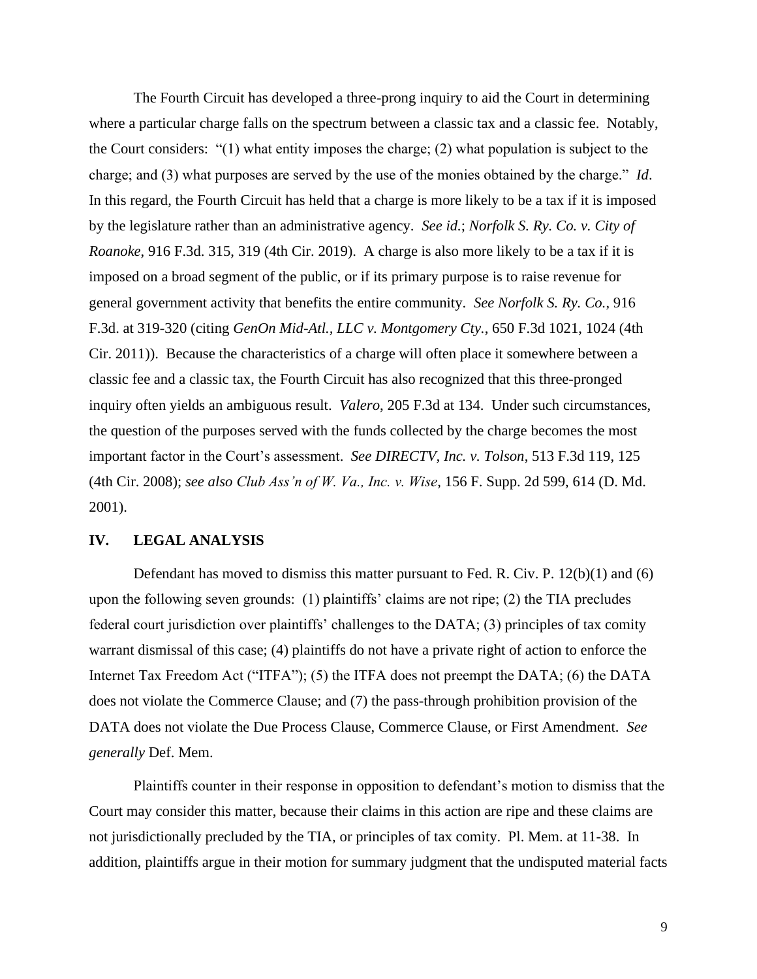The Fourth Circuit has developed a three-prong inquiry to aid the Court in determining where a particular charge falls on the spectrum between a classic tax and a classic fee. Notably, the Court considers: "(1) what entity imposes the charge; (2) what population is subject to the charge; and (3) what purposes are served by the use of the monies obtained by the charge." *[Id](https://1.next.westlaw.com/Link/Document/FullText?findType=Y&serNum=2000066283&pubNum=0000506&originatingDoc=Iaa639b10adf711e5b10893af99153f48&refType=RP&originationContext=document&transitionType=DocumentItem&ppcid=f188b5ee68c04b878903a55aeef1f465&contextData=(sc.History*oc.Default))*. In this regard, the Fourth Circuit has held that a charge is more likely to be a tax if it is imposed by the legislature rather than an administrative agency. *See id.*; *Norfolk S. Ry. Co. v. City of Roanoke*, 916 F.3d. 315, 319 (4th Cir. 2019). A charge is also more likely to be a tax if it is imposed on a broad segment of the public, or if its primary purpose is to raise revenue for general government activity that benefits the entire community. *See Norfolk S. Ry. Co.*, 916 F.3d. at 319-320 (citing *GenOn Mid-Atl., LLC v. Montgomery Cty.*, 650 F.3d 1021, 1024 (4th Cir. 2011)). Because the characteristics of a charge will often place it somewhere between a classic fee and a classic tax, the Fourth Circuit has also recognized that this three-pronged inquiry often yields an ambiguous result. *Valero*, 205 F.3d at 134. Under such circumstances, the question of the purposes served with the funds collected by the charge becomes the most important factor in the Court's assessment. *See [DIRECTV, Inc. v. Tolson](https://1.next.westlaw.com/Link/Document/FullText?findType=Y&serNum=2014661958&pubNum=0000506&originatingDoc=Iaa639b10adf711e5b10893af99153f48&refType=RP&fi=co_pp_sp_506_125&originationContext=document&transitionType=DocumentItem&ppcid=f188b5ee68c04b878903a55aeef1f465&contextData=(sc.History*oc.Default)#co_pp_sp_506_125)*, 513 F.3d 119, 125 [\(4th Cir.](https://1.next.westlaw.com/Link/Document/FullText?findType=Y&serNum=2014661958&pubNum=0000506&originatingDoc=Iaa639b10adf711e5b10893af99153f48&refType=RP&fi=co_pp_sp_506_125&originationContext=document&transitionType=DocumentItem&ppcid=f188b5ee68c04b878903a55aeef1f465&contextData=(sc.History*oc.Default)#co_pp_sp_506_125) 2008); *see also Club Ass'n of W. Va., Inc. v. Wise*, 156 F. Supp. 2d 599, 614 (D. Md. 2001).

## **IV. LEGAL ANALYSIS**

Defendant has moved to dismiss this matter pursuant to Fed. R. Civ. P.  $12(b)(1)$  and (6) upon the following seven grounds: (1) plaintiffs' claims are not ripe; (2) the TIA precludes federal court jurisdiction over plaintiffs' challenges to the DATA; (3) principles of tax comity warrant dismissal of this case; (4) plaintiffs do not have a private right of action to enforce the Internet Tax Freedom Act ("ITFA"); (5) the ITFA does not preempt the DATA; (6) the DATA does not violate the Commerce Clause; and (7) the pass-through prohibition provision of the DATA does not violate the Due Process Clause, Commerce Clause, or First Amendment. *See generally* Def. Mem.

Plaintiffs counter in their response in opposition to defendant's motion to dismiss that the Court may consider this matter, because their claims in this action are ripe and these claims are not jurisdictionally precluded by the TIA, or principles of tax comity. Pl. Mem. at 11-38. In addition, plaintiffs argue in their motion for summary judgment that the undisputed material facts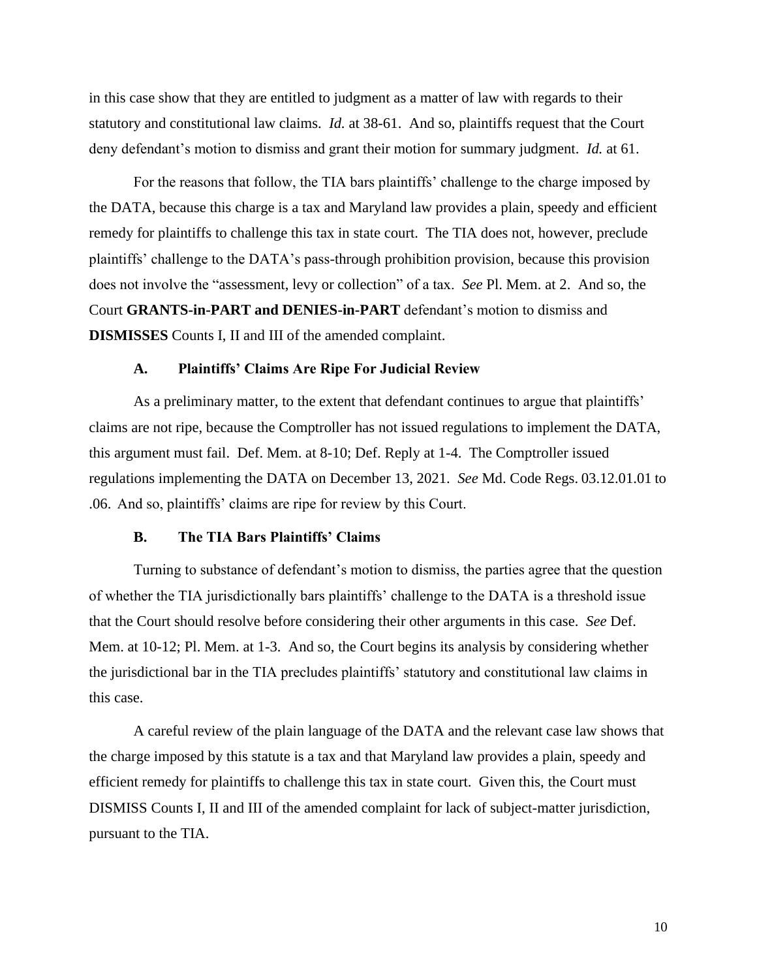in this case show that they are entitled to judgment as a matter of law with regards to their statutory and constitutional law claims. *Id.* at 38-61. And so, plaintiffs request that the Court deny defendant's motion to dismiss and grant their motion for summary judgment. *Id.* at 61.

For the reasons that follow, the TIA bars plaintiffs' challenge to the charge imposed by the DATA, because this charge is a tax and Maryland law provides a plain, speedy and efficient remedy for plaintiffs to challenge this tax in state court. The TIA does not, however, preclude plaintiffs' challenge to the DATA's pass-through prohibition provision, because this provision does not involve the "assessment, levy or collection" of a tax. *See* Pl. Mem. at 2. And so, the Court **GRANTS-in-PART and DENIES-in-PART** defendant's motion to dismiss and **DISMISSES** Counts I, II and III of the amended complaint.

#### **A. Plaintiffs' Claims Are Ripe For Judicial Review**

As a preliminary matter, to the extent that defendant continues to argue that plaintiffs' claims are not ripe, because the Comptroller has not issued regulations to implement the DATA, this argument must fail. Def. Mem. at 8-10; Def. Reply at 1-4. The Comptroller issued regulations implementing the DATA on December 13, 2021. *See* Md. Code Regs. 03.12.01.01 to .06. And so, plaintiffs' claims are ripe for review by this Court.

## **B. The TIA Bars Plaintiffs' Claims**

Turning to substance of defendant's motion to dismiss, the parties agree that the question of whether the TIA jurisdictionally bars plaintiffs' challenge to the DATA is a threshold issue that the Court should resolve before considering their other arguments in this case. *See* Def. Mem. at 10-12; Pl. Mem. at 1-3. And so, the Court begins its analysis by considering whether the jurisdictional bar in the TIA precludes plaintiffs' statutory and constitutional law claims in this case.

A careful review of the plain language of the DATA and the relevant case law shows that the charge imposed by this statute is a tax and that Maryland law provides a plain, speedy and efficient remedy for plaintiffs to challenge this tax in state court. Given this, the Court must DISMISS Counts I, II and III of the amended complaint for lack of subject-matter jurisdiction, pursuant to the TIA.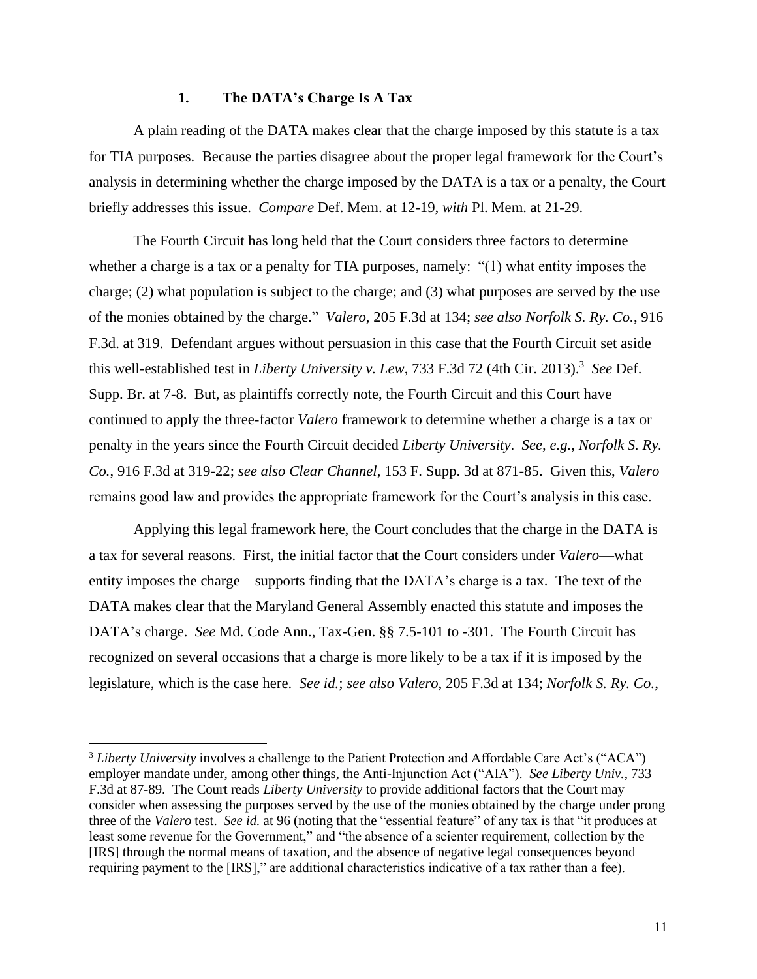### **1. The DATA's Charge Is A Tax**

A plain reading of the DATA makes clear that the charge imposed by this statute is a tax for TIA purposes. Because the parties disagree about the proper legal framework for the Court's analysis in determining whether the charge imposed by the DATA is a tax or a penalty, the Court briefly addresses this issue. *Compare* Def. Mem. at 12-19, *with* Pl. Mem. at 21-29.

The Fourth Circuit has long held that the Court considers three factors to determine whether a charge is a tax or a penalty for TIA purposes, namely: "(1) what entity imposes the charge; (2) what population is subject to the charge; and (3) what purposes are served by the use of the monies obtained by the charge." *Valero,* 205 F.3d at 134; *see also Norfolk S. Ry. Co.*, 916 F.3d. at 319. Defendant argues without persuasion in this case that the Fourth Circuit set aside this well-established test in *Liberty University v. Lew*, 733 F.3d 72 (4th Cir. 2013).<sup>3</sup> See Def. Supp. Br. at 7-8. But, as plaintiffs correctly note, the Fourth Circuit and this Court have continued to apply the three-factor *Valero* framework to determine whether a charge is a tax or penalty in the years since the Fourth Circuit decided *Liberty University*. *See, e.g.*, *Norfolk S. Ry. Co.*, 916 F.3d at 319-22; *see also Clear Channel*, 153 F. Supp. 3d at 871-85. Given this, *Valero* remains good law and provides the appropriate framework for the Court's analysis in this case.

Applying this legal framework here, the Court concludes that the charge in the DATA is a tax for several reasons. First, the initial factor that the Court considers under *Valero⸺*what entity imposes the charge⸺supports finding that the DATA's charge is a tax. The text of the DATA makes clear that the Maryland General Assembly enacted this statute and imposes the DATA's charge. *See* Md. Code Ann., Tax-Gen. §§ 7.5-101 to -301. The Fourth Circuit has recognized on several occasions that a charge is more likely to be a tax if it is imposed by the legislature, which is the case here. *See id.*; *see also Valero*, 205 F.3d at 134; *Norfolk S. Ry. Co.*,

<sup>3</sup> *Liberty University* involves a challenge to the Patient Protection and Affordable Care Act's ("ACA") employer mandate under, among other things, the Anti-Injunction Act ("AIA"). *See Liberty Univ.*, 733 F.3d at 87-89. The Court reads *Liberty University* to provide additional factors that the Court may consider when assessing the purposes served by the use of the monies obtained by the charge under prong three of the *Valero* test. *See id.* at 96 (noting that the "essential feature" of any tax is that "it produces at least some revenue for the Government," and "the absence of a scienter requirement, collection by the [IRS] through the normal means of taxation, and the absence of negative legal consequences beyond requiring payment to the [IRS]," are additional characteristics indicative of a tax rather than a fee).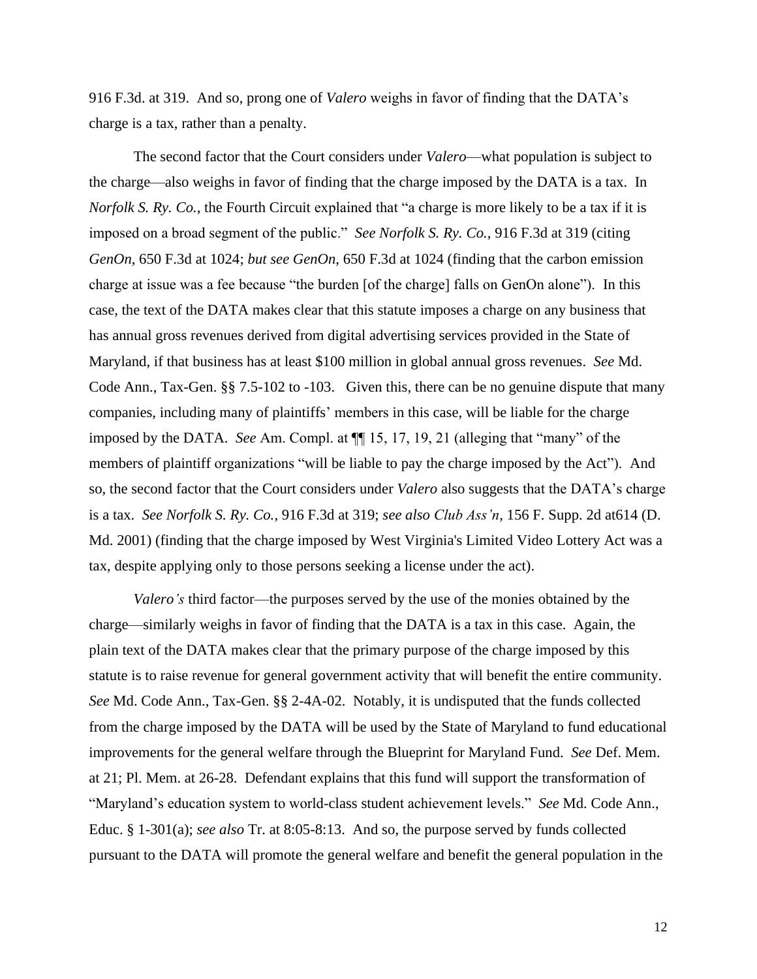916 F.3d. at 319. And so, prong one of *Valero* weighs in favor of finding that the DATA's charge is a tax, rather than a penalty.

The second factor that the Court considers under *Valero⸺*what population is subject to the charge⸺also weighs in favor of finding that the charge imposed by the DATA is a tax. In *Norfolk S. Ry. Co.*, the Fourth Circuit explained that "a charge is more likely to be a tax if it is imposed on a broad segment of the public." *See Norfolk S. Ry. Co.*, 916 F.3d at 319 (citing *GenOn*, 650 F.3d at 1024; *but see GenOn*, 650 F.3d at 1024 (finding that the carbon emission charge at issue was a fee because "the burden [of the charge] falls on GenOn alone"). In this case, the text of the DATA makes clear that this statute imposes a charge on any business that has annual gross revenues derived from digital advertising services provided in the State of Maryland, if that business has at least \$100 million in global annual gross revenues. *See* Md. Code Ann., Tax-Gen. §§ 7.5-102 to -103. Given this, there can be no genuine dispute that many companies, including many of plaintiffs' members in this case, will be liable for the charge imposed by the DATA. *See* Am. Compl. at ¶¶ 15, 17, 19, 21 (alleging that "many" of the members of plaintiff organizations "will be liable to pay the charge imposed by the Act"). And so, the second factor that the Court considers under *Valero* also suggests that the DATA's charge is a tax. *See Norfolk S. Ry. Co.*, 916 F.3d at 319; *see also Club Ass'n*, 156 F. Supp. 2d at614 (D. Md. 2001) (finding that the charge imposed by West Virginia's Limited Video Lottery Act was a tax, despite applying only to those persons seeking a license under the act).

*Valero's* third factor⸺the purposes served by the use of the monies obtained by the charge⸺similarly weighs in favor of finding that the DATA is a tax in this case. Again, the plain text of the DATA makes clear that the primary purpose of the charge imposed by this statute is to raise revenue for general government activity that will benefit the entire community. *See* Md. Code Ann., Tax-Gen. §§ 2-4A-02. Notably, it is undisputed that the funds collected from the charge imposed by the DATA will be used by the State of Maryland to fund educational improvements for the general welfare through the Blueprint for Maryland Fund. *See* Def. Mem. at 21; Pl. Mem. at 26-28. Defendant explains that this fund will support the transformation of "Maryland's education system to world-class student achievement levels." *See* Md. Code Ann., Educ. § 1-301(a); *see also* Tr. at 8:05-8:13. And so, the purpose served by funds collected pursuant to the DATA will promote the general welfare and benefit the general population in the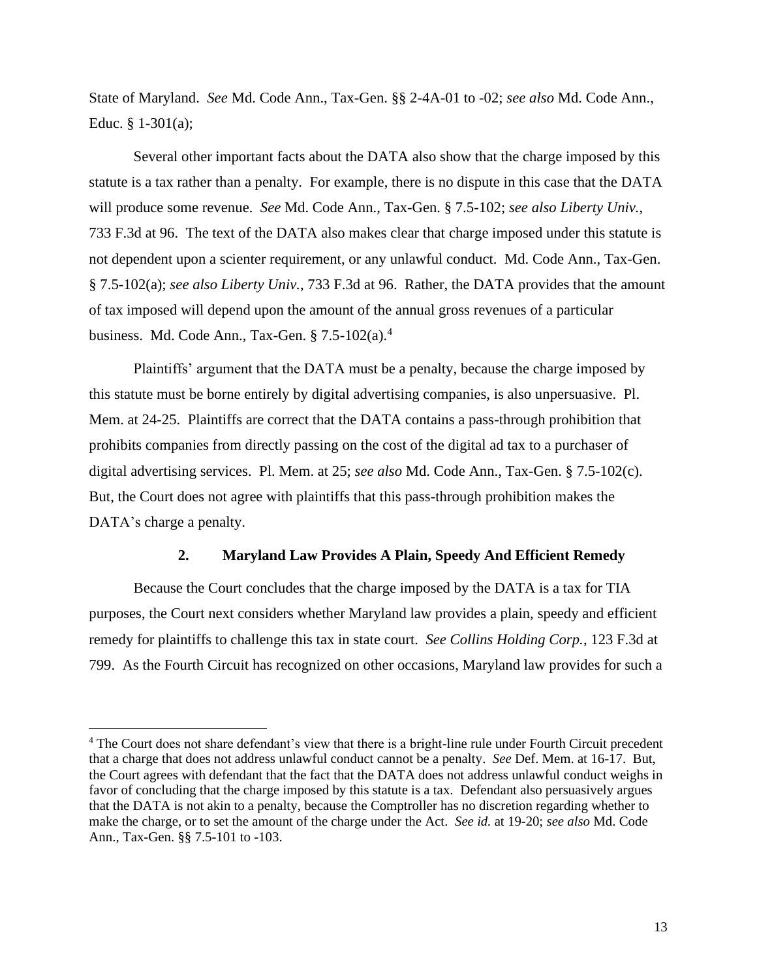State of Maryland. *See* Md. Code Ann., Tax-Gen. §§ 2-4A-01 to -02; *see also* Md. Code Ann., Educ. § 1-301(a);

Several other important facts about the DATA also show that the charge imposed by this statute is a tax rather than a penalty. For example, there is no dispute in this case that the DATA will produce some revenue. *See* Md. Code Ann., Tax-Gen. § 7.5-102; *see also Liberty Univ.*, 733 F.3d at 96. The text of the DATA also makes clear that charge imposed under this statute is not dependent upon a scienter requirement, or any unlawful conduct. Md. Code Ann., Tax-Gen. § 7.5-102(a); *see also Liberty Univ.*, 733 F.3d at 96. Rather, the DATA provides that the amount of tax imposed will depend upon the amount of the annual gross revenues of a particular business. Md. Code Ann., Tax-Gen.  $\S 7.5$ -102(a).<sup>4</sup>

Plaintiffs' argument that the DATA must be a penalty, because the charge imposed by this statute must be borne entirely by digital advertising companies, is also unpersuasive. Pl. Mem. at 24-25. Plaintiffs are correct that the DATA contains a pass-through prohibition that prohibits companies from directly passing on the cost of the digital ad tax to a purchaser of digital advertising services. Pl. Mem. at 25; *see also* Md. Code Ann., Tax-Gen. § 7.5-102(c). But, the Court does not agree with plaintiffs that this pass-through prohibition makes the DATA's charge a penalty.

# **2. Maryland Law Provides A Plain, Speedy And Efficient Remedy**

Because the Court concludes that the charge imposed by the DATA is a tax for TIA purposes, the Court next considers whether Maryland law provides a plain, speedy and efficient remedy for plaintiffs to challenge this tax in state court. *See Collins Holding Corp.*, 123 F.3d at 799. As the Fourth Circuit has recognized on other occasions, Maryland law provides for such a

<sup>&</sup>lt;sup>4</sup> The Court does not share defendant's view that there is a bright-line rule under Fourth Circuit precedent that a charge that does not address unlawful conduct cannot be a penalty. *See* Def. Mem. at 16-17. But, the Court agrees with defendant that the fact that the DATA does not address unlawful conduct weighs in favor of concluding that the charge imposed by this statute is a tax. Defendant also persuasively argues that the DATA is not akin to a penalty, because the Comptroller has no discretion regarding whether to make the charge, or to set the amount of the charge under the Act. *See id.* at 19-20; *see also* Md. Code Ann., Tax-Gen. §§ 7.5-101 to -103.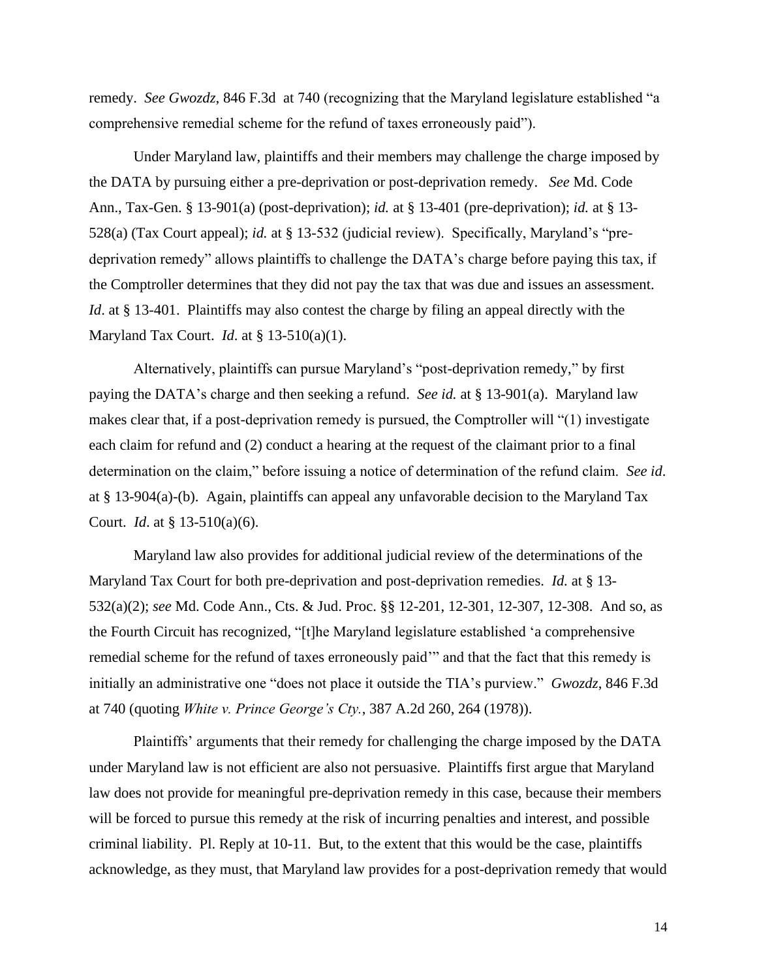remedy. *See Gwozdz*, 846 F.3d at 740 (recognizing that the Maryland legislature established "a comprehensive remedial scheme for the refund of taxes erroneously paid").

Under Maryland law, plaintiffs and their members may challenge the charge imposed by the DATA by pursuing either a pre-deprivation or post-deprivation remedy. *See* Md. Code Ann., Tax-Gen. § 13-901(a) (post-deprivation); *id.* at § 13-401 (pre-deprivation); *id.* at § 13- 528(a) (Tax Court appeal); *id.* at § 13-532 (judicial review). Specifically, Maryland's "predeprivation remedy" allows plaintiffs to challenge the DATA's charge before paying this tax, if the Comptroller determines that they did not pay the tax that was due and issues an assessment. *Id.* at § 13-401. Plaintiffs may also contest the charge by filing an appeal directly with the Maryland Tax Court. *Id*. at § 13-510(a)(1).

Alternatively, plaintiffs can pursue Maryland's "post-deprivation remedy," by first paying the DATA's charge and then seeking a refund. *See id.* at § 13-901(a). Maryland law makes clear that, if a post-deprivation remedy is pursued, the Comptroller will "(1) investigate each claim for refund and (2) conduct a hearing at the request of the claimant prior to a final determination on the claim," before issuing a notice of determination of the refund claim. *See id*. at § 13-904(a)-(b). Again, plaintiffs can appeal any unfavorable decision to the Maryland Tax Court. *Id*. at § 13-510(a)(6).

Maryland law also provides for additional judicial review of the determinations of the Maryland Tax Court for both pre-deprivation and post-deprivation remedies. *Id.* at § 13- 532(a)(2); *see* Md. Code Ann., Cts. & Jud. Proc. §§ 12-201, 12-301, 12-307, 12-308. And so, as the Fourth Circuit has recognized, "[t]he Maryland legislature established 'a comprehensive remedial scheme for the refund of taxes erroneously paid'" and that the fact that this remedy is initially an administrative one "does not place it outside the TIA's purview." *Gwozdz*, 846 F.3d at 740 (quoting *White v. Prince George's Cty.*, 387 A.2d 260, 264 (1978)).

Plaintiffs' arguments that their remedy for challenging the charge imposed by the DATA under Maryland law is not efficient are also not persuasive. Plaintiffs first argue that Maryland law does not provide for meaningful pre-deprivation remedy in this case, because their members will be forced to pursue this remedy at the risk of incurring penalties and interest, and possible criminal liability. Pl. Reply at 10-11. But, to the extent that this would be the case, plaintiffs acknowledge, as they must, that Maryland law provides for a post-deprivation remedy that would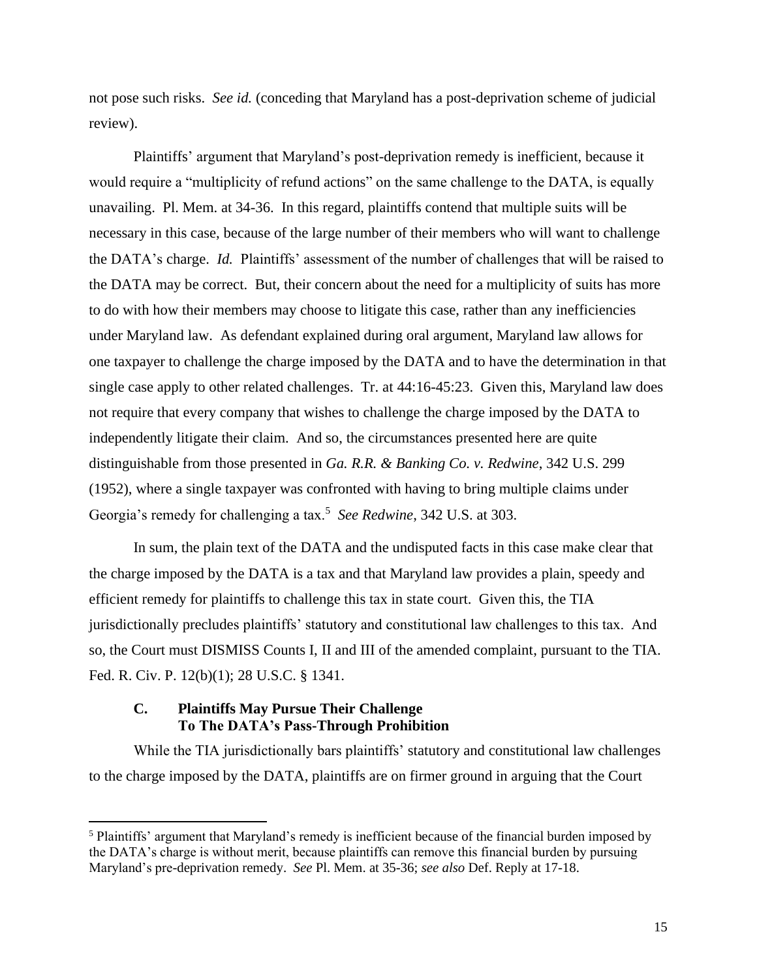not pose such risks. *See id.* (conceding that Maryland has a post-deprivation scheme of judicial review).

Plaintiffs' argument that Maryland's post-deprivation remedy is inefficient, because it would require a "multiplicity of refund actions" on the same challenge to the DATA, is equally unavailing. Pl. Mem. at 34-36. In this regard, plaintiffs contend that multiple suits will be necessary in this case, because of the large number of their members who will want to challenge the DATA's charge. *Id.* Plaintiffs' assessment of the number of challenges that will be raised to the DATA may be correct. But, their concern about the need for a multiplicity of suits has more to do with how their members may choose to litigate this case, rather than any inefficiencies under Maryland law. As defendant explained during oral argument, Maryland law allows for one taxpayer to challenge the charge imposed by the DATA and to have the determination in that single case apply to other related challenges. Tr. at 44:16-45:23. Given this, Maryland law does not require that every company that wishes to challenge the charge imposed by the DATA to independently litigate their claim. And so, the circumstances presented here are quite distinguishable from those presented in *Ga. R.R. & Banking Co. v. Redwine*, 342 U.S. 299 (1952), where a single taxpayer was confronted with having to bring multiple claims under Georgia's remedy for challenging a tax.<sup>5</sup> See Redwine, 342 U.S. at 303.

In sum, the plain text of the DATA and the undisputed facts in this case make clear that the charge imposed by the DATA is a tax and that Maryland law provides a plain, speedy and efficient remedy for plaintiffs to challenge this tax in state court. Given this, the TIA jurisdictionally precludes plaintiffs' statutory and constitutional law challenges to this tax. And so, the Court must DISMISS Counts I, II and III of the amended complaint, pursuant to the TIA. Fed. R. Civ. P. 12(b)(1); 28 U.S.C. § 1341.

# **C. Plaintiffs May Pursue Their Challenge To The DATA's Pass-Through Prohibition**

While the TIA jurisdictionally bars plaintiffs' statutory and constitutional law challenges to the charge imposed by the DATA, plaintiffs are on firmer ground in arguing that the Court

<sup>5</sup> Plaintiffs' argument that Maryland's remedy is inefficient because of the financial burden imposed by the DATA's charge is without merit, because plaintiffs can remove this financial burden by pursuing Maryland's pre-deprivation remedy. *See* Pl. Mem. at 35-36; *see also* Def. Reply at 17-18.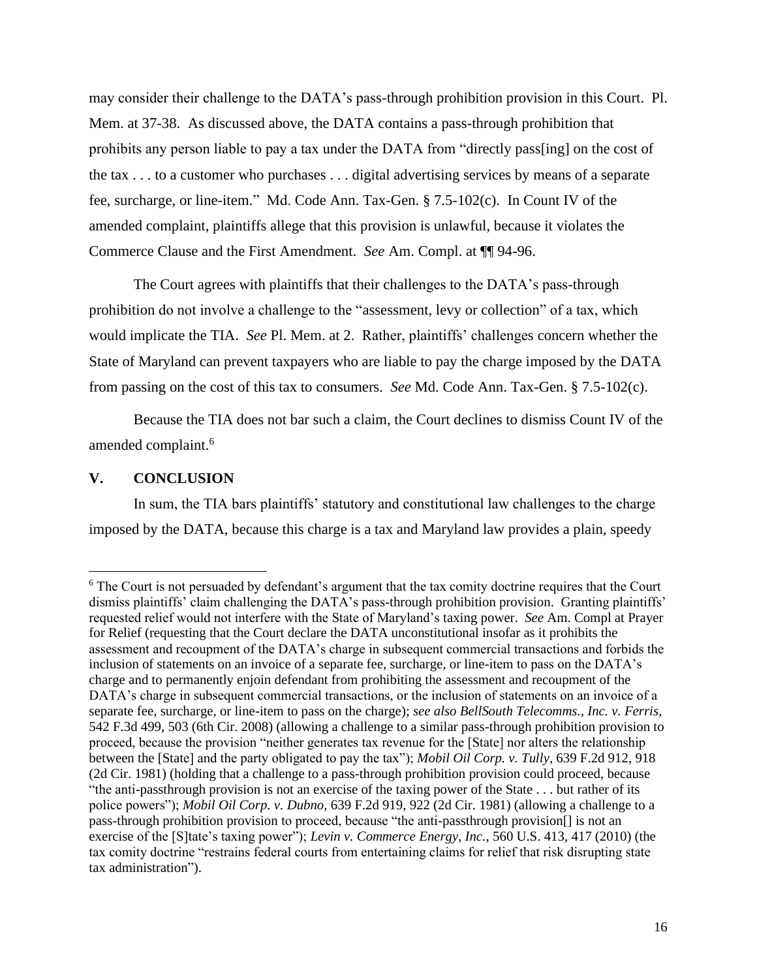may consider their challenge to the DATA's pass-through prohibition provision in this Court. Pl. Mem. at 37-38. As discussed above, the DATA contains a pass-through prohibition that prohibits any person liable to pay a tax under the DATA from "directly pass[ing] on the cost of the tax . . . to a customer who purchases . . . digital advertising services by means of a separate fee, surcharge, or line-item." Md. Code Ann. Tax-Gen. § 7.5-102(c). In Count IV of the amended complaint, plaintiffs allege that this provision is unlawful, because it violates the Commerce Clause and the First Amendment. *See* Am. Compl. at ¶¶ 94-96.

The Court agrees with plaintiffs that their challenges to the DATA's pass-through prohibition do not involve a challenge to the "assessment, levy or collection" of a tax, which would implicate the TIA. *See* Pl. Mem. at 2. Rather, plaintiffs' challenges concern whether the State of Maryland can prevent taxpayers who are liable to pay the charge imposed by the DATA from passing on the cost of this tax to consumers. *See* Md. Code Ann. Tax-Gen. § 7.5-102(c).

Because the TIA does not bar such a claim, the Court declines to dismiss Count IV of the amended complaint.<sup>6</sup>

# **V. CONCLUSION**

In sum, the TIA bars plaintiffs' statutory and constitutional law challenges to the charge imposed by the DATA, because this charge is a tax and Maryland law provides a plain, speedy

<sup>6</sup> The Court is not persuaded by defendant's argument that the tax comity doctrine requires that the Court dismiss plaintiffs' claim challenging the DATA's pass-through prohibition provision. Granting plaintiffs' requested relief would not interfere with the State of Maryland's taxing power. *See* Am. Compl at Prayer for Relief (requesting that the Court declare the DATA unconstitutional insofar as it prohibits the assessment and recoupment of the DATA's charge in subsequent commercial transactions and forbids the inclusion of statements on an invoice of a separate fee, surcharge, or line-item to pass on the DATA's charge and to permanently enjoin defendant from prohibiting the assessment and recoupment of the DATA's charge in subsequent commercial transactions, or the inclusion of statements on an invoice of a separate fee, surcharge, or line-item to pass on the charge); *see also BellSouth Telecomms., Inc. v. Ferris*, 542 F.3d 499, 503 (6th Cir. 2008) (allowing a challenge to a similar pass-through prohibition provision to proceed, because the provision "neither generates tax revenue for the [State] nor alters the relationship between the [State] and the party obligated to pay the tax"); *Mobil Oil Corp. v. Tully*, 639 F.2d 912, 918 (2d Cir. 1981) (holding that a challenge to a pass-through prohibition provision could proceed, because "the anti-passthrough provision is not an exercise of the taxing power of the State . . . but rather of its police powers"); *Mobil Oil Corp. v. Dubno*, 639 F.2d 919, 922 (2d Cir. 1981) (allowing a challenge to a pass-through prohibition provision to proceed, because "the anti-passthrough provision[] is not an exercise of the [S]tate's taxing power"); *Levin v. Commerce Energy, Inc.*, 560 U.S. 413, 417 (2010) (the tax comity doctrine "restrains federal courts from entertaining claims for relief that risk disrupting state tax administration").